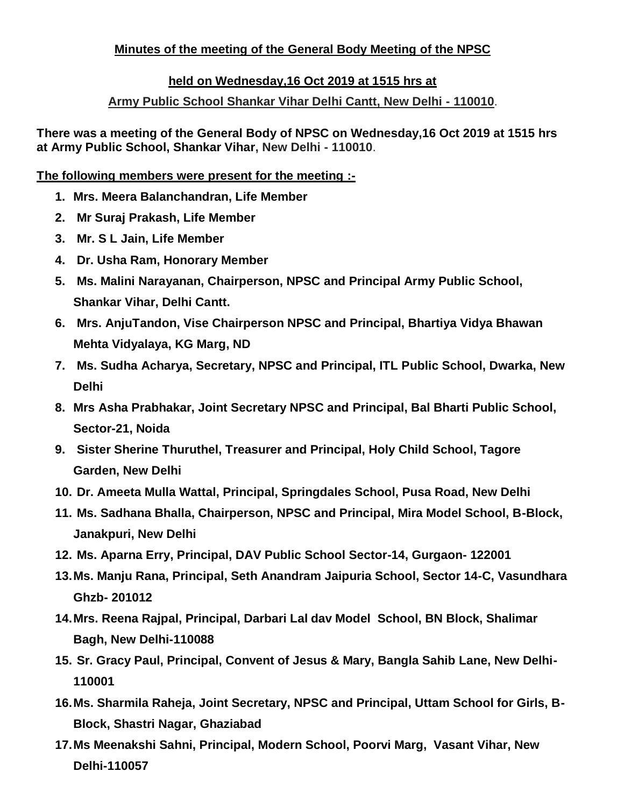## **Minutes of the meeting of the General Body Meeting of the NPSC**

## **held on Wednesday,16 Oct 2019 at 1515 hrs at**

## **Army Public School Shankar Vihar Delhi Cantt, New Delhi - 110010**.

**There was a meeting of the General Body of NPSC on Wednesday,16 Oct 2019 at 1515 hrs at Army Public School, Shankar Vihar, New Delhi - 110010**.

#### **The following members were present for the meeting :-**

- **1. Mrs. Meera Balanchandran, Life Member**
- **2. Mr Suraj Prakash, Life Member**
- **3. Mr. S L Jain, Life Member**
- **4. Dr. Usha Ram, Honorary Member**
- **5. Ms. Malini Narayanan, Chairperson, NPSC and Principal Army Public School, Shankar Vihar, Delhi Cantt.**
- **6. Mrs. AnjuTandon, Vise Chairperson NPSC and Principal, Bhartiya Vidya Bhawan Mehta Vidyalaya, KG Marg, ND**
- **7. Ms. Sudha Acharya, Secretary, NPSC and Principal, ITL Public School, Dwarka, New Delhi**
- **8. Mrs Asha Prabhakar, Joint Secretary NPSC and Principal, Bal Bharti Public School, Sector-21, Noida**
- **9. Sister Sherine Thuruthel, Treasurer and Principal, Holy Child School, Tagore Garden, New Delhi**
- **10. Dr. Ameeta Mulla Wattal, Principal, Springdales School, Pusa Road, New Delhi**
- **11. Ms. Sadhana Bhalla, Chairperson, NPSC and Principal, Mira Model School, B-Block, Janakpuri, New Delhi**
- **12. Ms. Aparna Erry, Principal, DAV Public School Sector-14, Gurgaon- 122001**
- **13.Ms. Manju Rana, Principal, Seth Anandram Jaipuria School, Sector 14-C, Vasundhara Ghzb- 201012**
- **14.Mrs. Reena Rajpal, Principal, Darbari Lal dav Model School, BN Block, Shalimar Bagh, New Delhi-110088**
- **15. Sr. Gracy Paul, Principal, Convent of Jesus & Mary, Bangla Sahib Lane, New Delhi-110001**
- **16.Ms. Sharmila Raheja, Joint Secretary, NPSC and Principal, Uttam School for Girls, B-Block, Shastri Nagar, Ghaziabad**
- **17.Ms Meenakshi Sahni, Principal, Modern School, Poorvi Marg, Vasant Vihar, New Delhi-110057**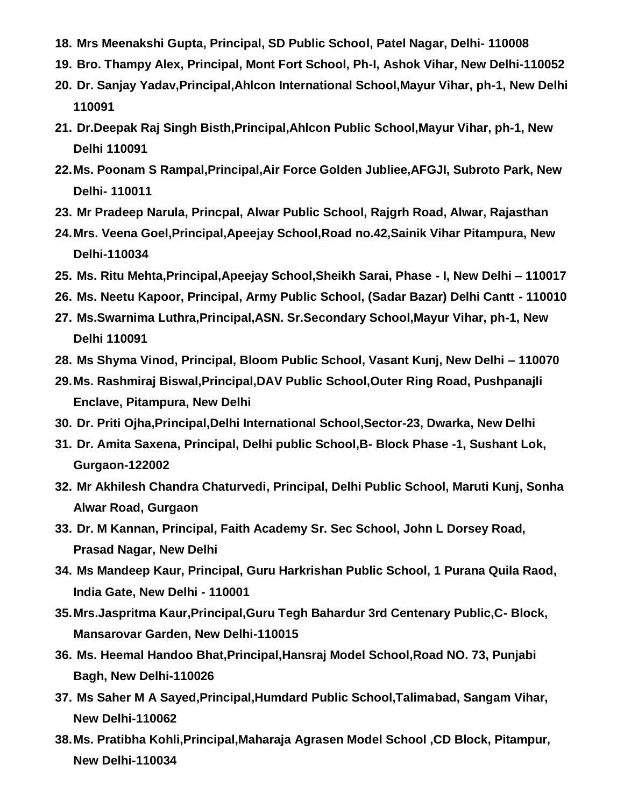- **18. Mrs Meenakshi Gupta, Principal, SD Public School, Patel Nagar, Delhi- 110008**
- **19. Bro. Thampy Alex, Principal, Mont Fort School, Ph-I, Ashok Vihar, New Delhi-110052**
- **20. Dr. Sanjay Yadav,Principal,Ahlcon International School,Mayur Vihar, ph-1, New Delhi 110091**
- **21. Dr.Deepak Raj Singh Bisth,Principal,Ahlcon Public School,Mayur Vihar, ph-1, New Delhi 110091**
- **22.Ms. Poonam S Rampal,Principal,Air Force Golden Jubliee,AFGJI, Subroto Park, New Delhi- 110011**
- **23. Mr Pradeep Narula, Princpal, Alwar Public School, Rajgrh Road, Alwar, Rajasthan**
- **24.Mrs. Veena Goel,Principal,Apeejay School,Road no.42,Sainik Vihar Pitampura, New Delhi-110034**
- **25. Ms. Ritu Mehta,Principal,Apeejay School,Sheikh Sarai, Phase - I, New Delhi – 110017**
- **26. Ms. Neetu Kapoor, Principal, Army Public School, (Sadar Bazar) Delhi Cantt - 110010**
- **27. Ms.Swarnima Luthra,Principal,ASN. Sr.Secondary School,Mayur Vihar, ph-1, New Delhi 110091**
- **28. Ms Shyma Vinod, Principal, Bloom Public School, Vasant Kunj, New Delhi – 110070**
- **29.Ms. Rashmiraj Biswal,Principal,DAV Public School,Outer Ring Road, Pushpanajli Enclave, Pitampura, New Delhi**
- **30. Dr. Priti Ojha,Principal,Delhi International School,Sector-23, Dwarka, New Delhi**
- **31. Dr. Amita Saxena, Principal, Delhi public School,B- Block Phase -1, Sushant Lok, Gurgaon-122002**
- **32. Mr Akhilesh Chandra Chaturvedi, Principal, Delhi Public School, Maruti Kunj, Sonha Alwar Road, Gurgaon**
- **33. Dr. M Kannan, Principal, Faith Academy Sr. Sec School, John L Dorsey Road, Prasad Nagar, New Delhi**
- **34. Ms Mandeep Kaur, Principal, Guru Harkrishan Public School, 1 Purana Quila Raod, India Gate, New Delhi - 110001**
- **35.Mrs.Jaspritma Kaur,Principal,Guru Tegh Bahardur 3rd Centenary Public,C- Block, Mansarovar Garden, New Delhi-110015**
- **36. Ms. Heemal Handoo Bhat,Principal,Hansraj Model School,Road NO. 73, Punjabi Bagh, New Delhi-110026**
- **37. Ms Saher M A Sayed,Principal,Humdard Public School,Talimabad, Sangam Vihar, New Delhi-110062**
- **38.Ms. Pratibha Kohli,Principal,Maharaja Agrasen Model School ,CD Block, Pitampur, New Delhi-110034**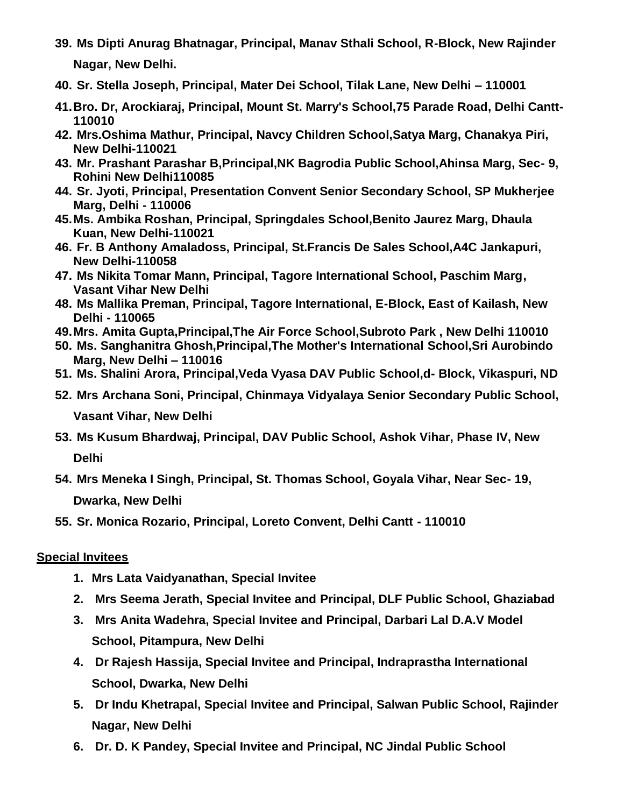- **39. Ms Dipti Anurag Bhatnagar, Principal, Manav Sthali School, R-Block, New Rajinder Nagar, New Delhi.**
- **40. Sr. Stella Joseph, Principal, Mater Dei School, Tilak Lane, New Delhi – 110001**
- **41.Bro. Dr, Arockiaraj, Principal, Mount St. Marry's School,75 Parade Road, Delhi Cantt-110010**
- **42. Mrs.Oshima Mathur, Principal, Navcy Children School,Satya Marg, Chanakya Piri, New Delhi-110021**
- **43. Mr. Prashant Parashar B,Principal,NK Bagrodia Public School,Ahinsa Marg, Sec- 9, Rohini New Delhi110085**
- **44. Sr. Jyoti, Principal, Presentation Convent Senior Secondary School, SP Mukherjee Marg, Delhi - 110006**
- **45.Ms. Ambika Roshan, Principal, Springdales School,Benito Jaurez Marg, Dhaula Kuan, New Delhi-110021**
- **46. Fr. B Anthony Amaladoss, Principal, St.Francis De Sales School,A4C Jankapuri, New Delhi-110058**
- **47. Ms Nikita Tomar Mann, Principal, Tagore International School, Paschim Marg, Vasant Vihar New Delhi**
- **48. Ms Mallika Preman, Principal, Tagore International, E-Block, East of Kailash, New Delhi - 110065**
- **49.Mrs. Amita Gupta,Principal,The Air Force School,Subroto Park , New Delhi 110010**
- **50. Ms. Sanghanitra Ghosh,Principal,The Mother's International School,Sri Aurobindo Marg, New Delhi – 110016**
- **51. Ms. Shalini Arora, Principal,Veda Vyasa DAV Public School,d- Block, Vikaspuri, ND**
- **52. Mrs Archana Soni, Principal, Chinmaya Vidyalaya Senior Secondary Public School,**

**Vasant Vihar, New Delhi**

- **53. Ms Kusum Bhardwaj, Principal, DAV Public School, Ashok Vihar, Phase IV, New Delhi**
- **54. Mrs Meneka I Singh, Principal, St. Thomas School, Goyala Vihar, Near Sec- 19, Dwarka, New Delhi**
- **55. Sr. Monica Rozario, Principal, Loreto Convent, Delhi Cantt - 110010**

## **Special Invitees**

- **1. Mrs Lata Vaidyanathan, Special Invitee**
- **2. Mrs Seema Jerath, Special Invitee and Principal, DLF Public School, Ghaziabad**
- **3. Mrs Anita Wadehra, Special Invitee and Principal, Darbari Lal D.A.V Model School, Pitampura, New Delhi**
- **4. Dr Rajesh Hassija, Special Invitee and Principal, Indraprastha International School, Dwarka, New Delhi**
- **5. Dr Indu Khetrapal, Special Invitee and Principal, Salwan Public School, Rajinder Nagar, New Delhi**
- **6. Dr. D. K Pandey, Special Invitee and Principal, NC Jindal Public School**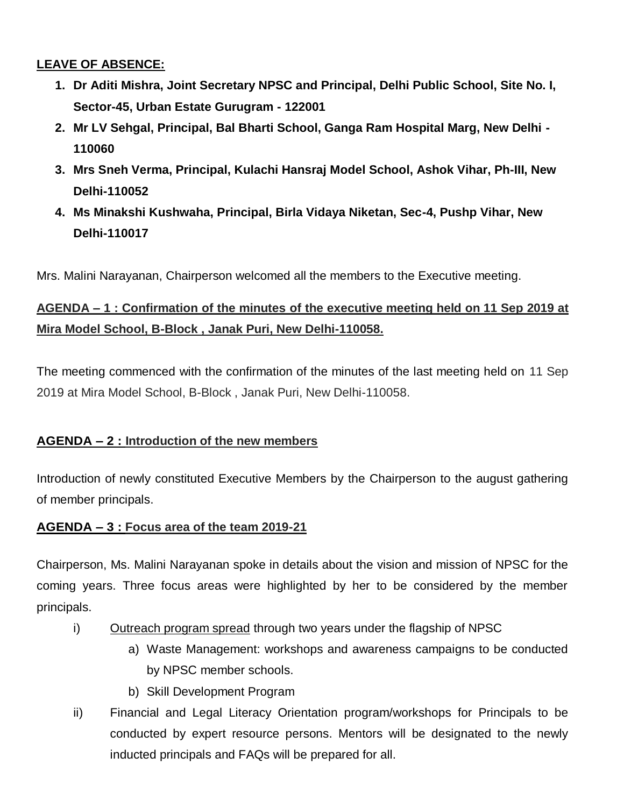## **LEAVE OF ABSENCE:**

- **1. Dr Aditi Mishra, Joint Secretary NPSC and Principal, Delhi Public School, Site No. I, Sector-45, Urban Estate Gurugram - 122001**
- **2. Mr LV Sehgal, Principal, Bal Bharti School, Ganga Ram Hospital Marg, New Delhi - 110060**
- **3. Mrs Sneh Verma, Principal, Kulachi Hansraj Model School, Ashok Vihar, Ph-III, New Delhi-110052**
- **4. Ms Minakshi Kushwaha, Principal, Birla Vidaya Niketan, Sec-4, Pushp Vihar, New Delhi-110017**

Mrs. Malini Narayanan, Chairperson welcomed all the members to the Executive meeting.

# **AGENDA – 1 : Confirmation of the minutes of the executive meeting held on 11 Sep 2019 at Mira Model School, B-Block , Janak Puri, New Delhi-110058.**

The meeting commenced with the confirmation of the minutes of the last meeting held on 11 Sep 2019 at Mira Model School, B-Block , Janak Puri, New Delhi-110058.

# **AGENDA – 2 : Introduction of the new members**

Introduction of newly constituted Executive Members by the Chairperson to the august gathering of member principals.

## **AGENDA – 3 : Focus area of the team 2019-21**

Chairperson, Ms. Malini Narayanan spoke in details about the vision and mission of NPSC for the coming years. Three focus areas were highlighted by her to be considered by the member principals.

- i) Outreach program spread through two years under the flagship of NPSC
	- a) Waste Management: workshops and awareness campaigns to be conducted by NPSC member schools.
	- b) Skill Development Program
- ii) Financial and Legal Literacy Orientation program/workshops for Principals to be conducted by expert resource persons. Mentors will be designated to the newly inducted principals and FAQs will be prepared for all.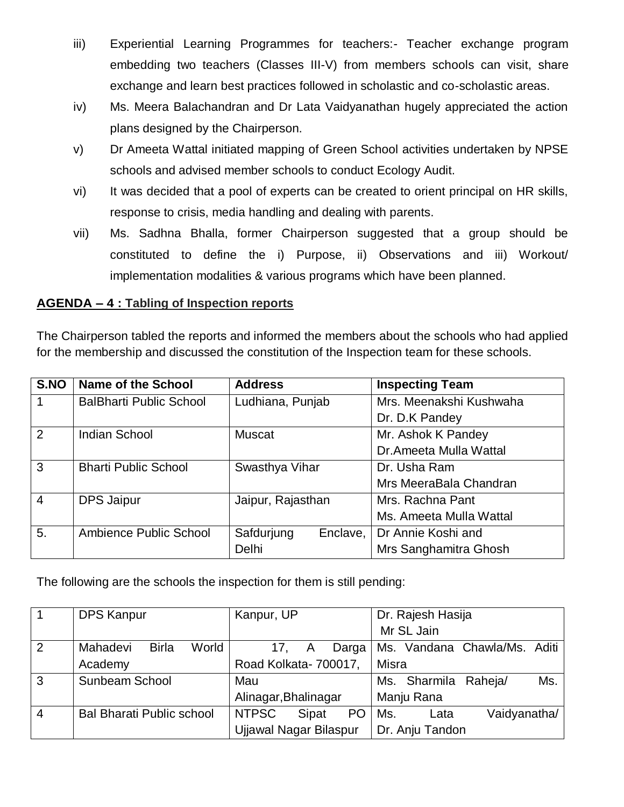- iii) Experiential Learning Programmes for teachers:- Teacher exchange program embedding two teachers (Classes III-V) from members schools can visit, share exchange and learn best practices followed in scholastic and co-scholastic areas.
- iv) Ms. Meera Balachandran and Dr Lata Vaidyanathan hugely appreciated the action plans designed by the Chairperson.
- v) Dr Ameeta Wattal initiated mapping of Green School activities undertaken by NPSE schools and advised member schools to conduct Ecology Audit.
- vi) It was decided that a pool of experts can be created to orient principal on HR skills, response to crisis, media handling and dealing with parents.
- vii) Ms. Sadhna Bhalla, former Chairperson suggested that a group should be constituted to define the i) Purpose, ii) Observations and iii) Workout/ implementation modalities & various programs which have been planned.

#### **AGENDA – 4 : Tabling of Inspection reports**

The Chairperson tabled the reports and informed the members about the schools who had applied for the membership and discussed the constitution of the Inspection team for these schools.

| S.NO           | Name of the School             | <b>Address</b>         | <b>Inspecting Team</b>  |
|----------------|--------------------------------|------------------------|-------------------------|
| $\mathbf 1$    | <b>BalBharti Public School</b> | Ludhiana, Punjab       | Mrs. Meenakshi Kushwaha |
|                |                                |                        | Dr. D.K Pandey          |
| 2              | <b>Indian School</b>           | <b>Muscat</b>          | Mr. Ashok K Pandey      |
|                |                                |                        | Dr.Ameeta Mulla Wattal  |
| 3              | <b>Bharti Public School</b>    | Swasthya Vihar         | Dr. Usha Ram            |
|                |                                |                        | Mrs MeeraBala Chandran  |
| $\overline{4}$ | <b>DPS Jaipur</b>              | Jaipur, Rajasthan      | Mrs. Rachna Pant        |
|                |                                |                        | Ms. Ameeta Mulla Wattal |
| 5.             | Ambience Public School         | Safdurjung<br>Enclave, | Dr Annie Koshi and      |
|                |                                | <b>Delhi</b>           | Mrs Sanghamitra Ghosh   |

The following are the schools the inspection for them is still pending:

|                | <b>DPS Kanpur</b>                 | Kanpur, UP                         | Dr. Rajesh Hasija            |
|----------------|-----------------------------------|------------------------------------|------------------------------|
|                |                                   |                                    | Mr SL Jain                   |
| 2              | <b>Birla</b><br>World<br>Mahadevi | Darga<br>17.                       | Ms. Vandana Chawla/Ms. Aditi |
|                | Academy                           | Road Kolkata- 700017,              | Misra                        |
| $\mathbf{3}$   | Sunbeam School                    | Mau                                | Ms.<br>Ms. Sharmila Raheja/  |
|                |                                   | Alinagar, Bhalinagar               | Manju Rana                   |
| $\overline{4}$ | <b>Bal Bharati Public school</b>  | <b>NTPSC</b><br>PO<br><b>Sipat</b> | Vaidyanatha/<br>Ms.<br>Lata  |
|                |                                   | <b>Ujjawal Nagar Bilaspur</b>      | Dr. Anju Tandon              |